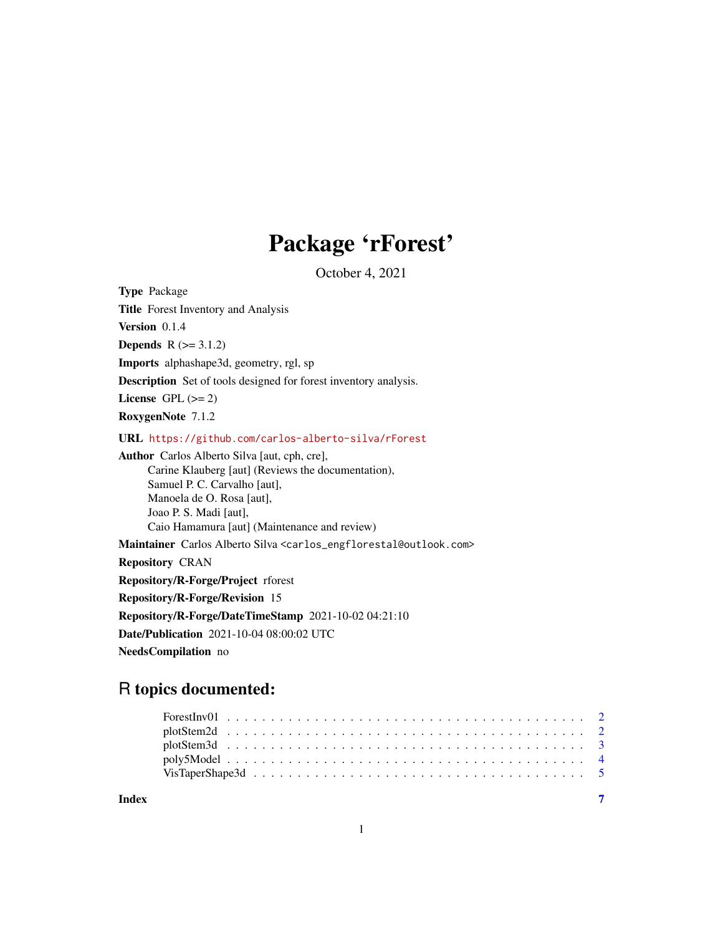## Package 'rForest'

October 4, 2021

Type Package

Title Forest Inventory and Analysis

Version 0.1.4

**Depends**  $R (= 3.1.2)$ 

Imports alphashape3d, geometry, rgl, sp

Description Set of tools designed for forest inventory analysis.

License GPL  $(>= 2)$ 

RoxygenNote 7.1.2

#### URL <https://github.com/carlos-alberto-silva/rForest>

Author Carlos Alberto Silva [aut, cph, cre], Carine Klauberg [aut] (Reviews the documentation), Samuel P. C. Carvalho [aut], Manoela de O. Rosa [aut], Joao P. S. Madi [aut], Caio Hamamura [aut] (Maintenance and review)

Maintainer Carlos Alberto Silva <carlos\_engflorestal@outlook.com>

Repository CRAN

Repository/R-Forge/Project rforest

Repository/R-Forge/Revision 15

Repository/R-Forge/DateTimeStamp 2021-10-02 04:21:10

Date/Publication 2021-10-04 08:00:02 UTC

NeedsCompilation no

### R topics documented:

| Index |  |
|-------|--|
|       |  |
|       |  |
|       |  |
|       |  |
|       |  |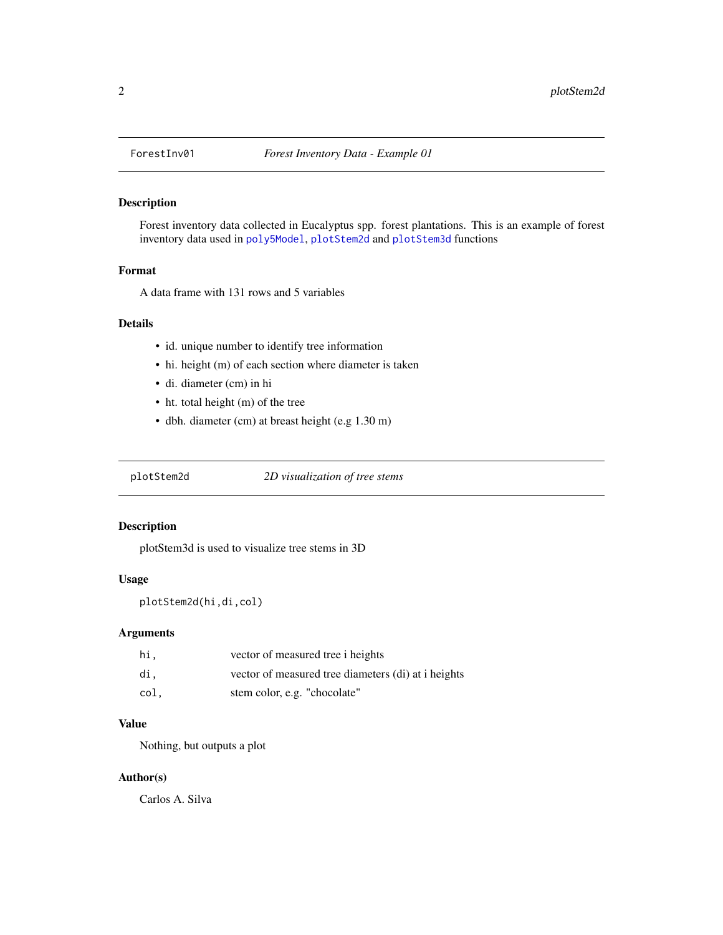<span id="page-1-0"></span>

#### Description

Forest inventory data collected in Eucalyptus spp. forest plantations. This is an example of forest inventory data used in [poly5Model](#page-3-1), [plotStem2d](#page-1-1) and [plotStem3d](#page-2-1) functions

#### Format

A data frame with 131 rows and 5 variables

#### Details

- id. unique number to identify tree information
- hi. height (m) of each section where diameter is taken
- di. diameter (cm) in hi
- ht. total height (m) of the tree
- dbh. diameter (cm) at breast height (e.g 1.30 m)

<span id="page-1-1"></span>plotStem2d *2D visualization of tree stems*

#### Description

plotStem3d is used to visualize tree stems in 3D

#### Usage

```
plotStem2d(hi,di,col)
```
#### Arguments

| hi.  | vector of measured tree i heights                   |
|------|-----------------------------------------------------|
| di.  | vector of measured tree diameters (di) at i heights |
| col. | stem color, e.g. "chocolate"                        |

#### Value

Nothing, but outputs a plot

#### Author(s)

Carlos A. Silva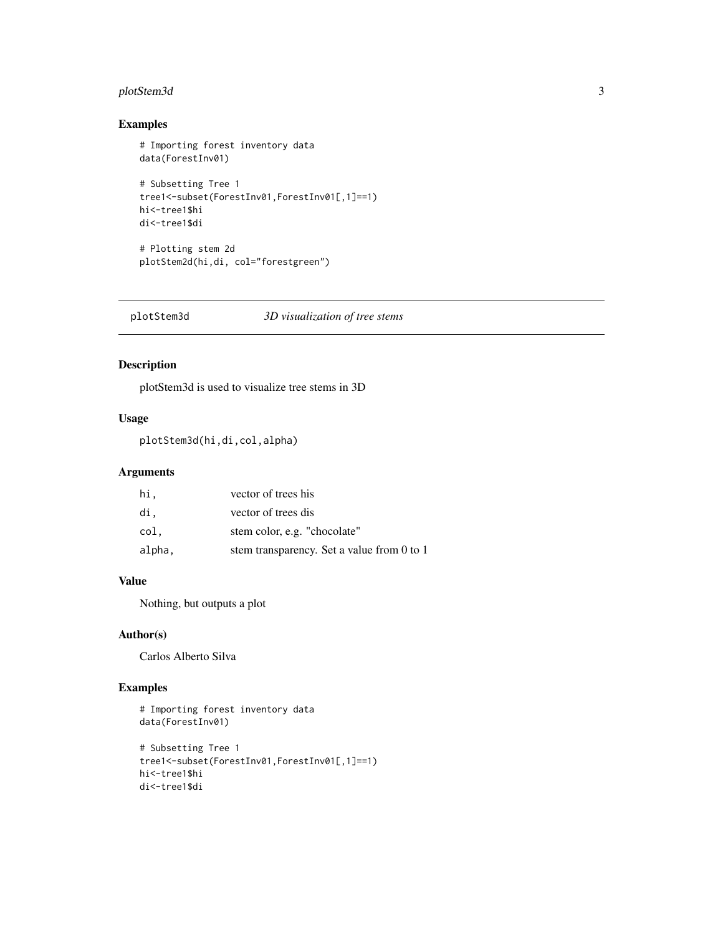#### <span id="page-2-0"></span>plotStem3d 3

#### Examples

```
# Importing forest inventory data
data(ForestInv01)
# Subsetting Tree 1
tree1<-subset(ForestInv01,ForestInv01[,1]==1)
hi<-tree1$hi
di<-tree1$di
# Plotting stem 2d
```

```
plotStem2d(hi,di, col="forestgreen")
```
<span id="page-2-1"></span>plotStem3d *3D visualization of tree stems*

#### Description

plotStem3d is used to visualize tree stems in 3D

#### Usage

plotStem3d(hi,di,col,alpha)

#### Arguments

| hi.    | vector of trees his                        |
|--------|--------------------------------------------|
| di.    | vector of trees dis                        |
| col.   | stem color, e.g. "chocolate"               |
| alpha, | stem transparency. Set a value from 0 to 1 |

#### Value

Nothing, but outputs a plot

#### Author(s)

Carlos Alberto Silva

#### Examples

```
# Importing forest inventory data
data(ForestInv01)
```

```
# Subsetting Tree 1
tree1<-subset(ForestInv01,ForestInv01[,1]==1)
hi<-tree1$hi
di<-tree1$di
```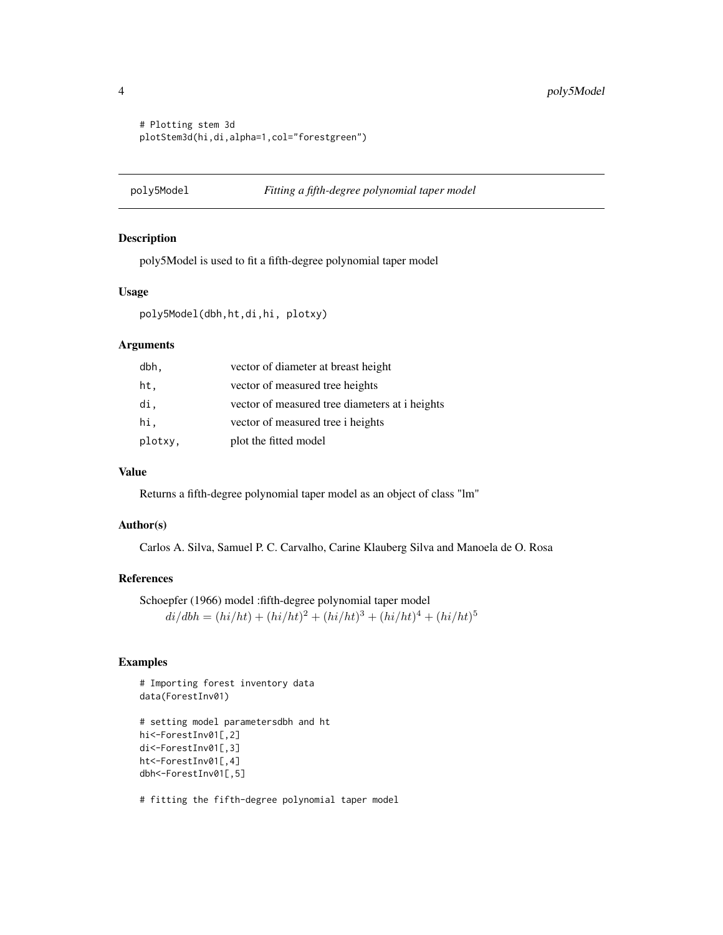```
# Plotting stem 3d
plotStem3d(hi,di,alpha=1,col="forestgreen")
```
<span id="page-3-1"></span>poly5Model *Fitting a fifth-degree polynomial taper model*

#### Description

poly5Model is used to fit a fifth-degree polynomial taper model

#### Usage

```
poly5Model(dbh,ht,di,hi, plotxy)
```
#### Arguments

| dbh,    | vector of diameter at breast height            |
|---------|------------------------------------------------|
| ht.     | vector of measured tree heights                |
| di,     | vector of measured tree diameters at i heights |
| hi.     | vector of measured tree i heights              |
| plotxy, | plot the fitted model                          |

#### Value

Returns a fifth-degree polynomial taper model as an object of class "lm"

#### Author(s)

Carlos A. Silva, Samuel P. C. Carvalho, Carine Klauberg Silva and Manoela de O. Rosa

#### References

Schoepfer (1966) model :fifth-degree polynomial taper model

 $di/dbh = (hi/ht) + (hi/ht)^2 + (hi/ht)^3 + (hi/ht)^4 + (hi/ht)^5$ 

#### Examples

```
# Importing forest inventory data
data(ForestInv01)
```

```
# setting model parametersdbh and ht
hi<-ForestInv01[,2]
di<-ForestInv01[,3]
ht<-ForestInv01[,4]
dbh<-ForestInv01[,5]
```
# fitting the fifth-degree polynomial taper model

<span id="page-3-0"></span>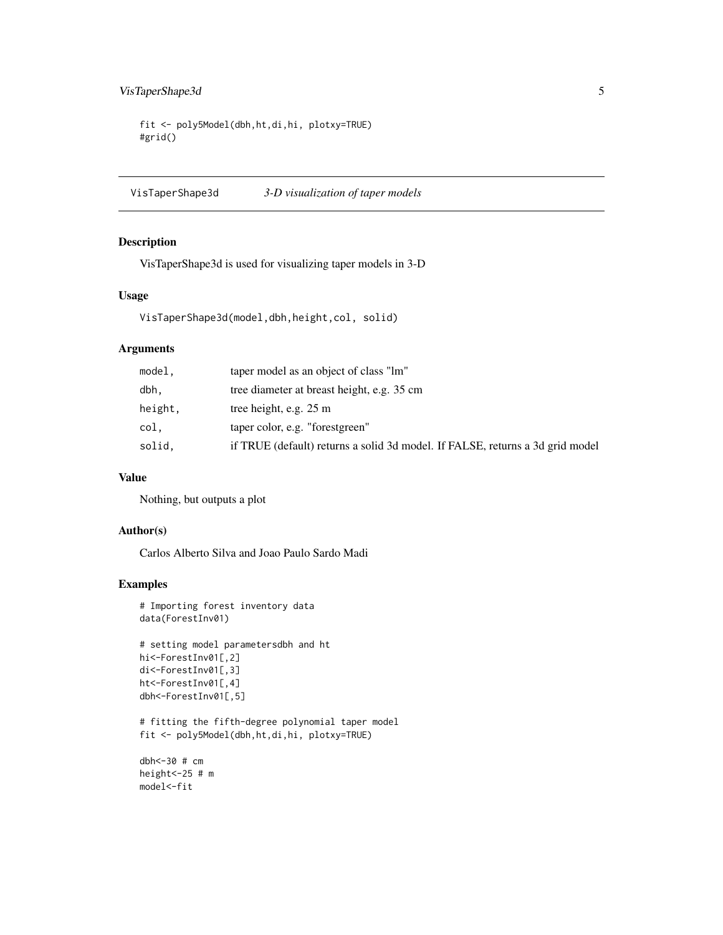#### <span id="page-4-0"></span>VisTaperShape3d 5

```
fit <- poly5Model(dbh,ht,di,hi, plotxy=TRUE)
#grid()
```
VisTaperShape3d *3-D visualization of taper models*

#### Description

VisTaperShape3d is used for visualizing taper models in 3-D

#### Usage

```
VisTaperShape3d(model,dbh,height,col, solid)
```
#### Arguments

| model.  | taper model as an object of class "lm"                                        |
|---------|-------------------------------------------------------------------------------|
| dbh.    | tree diameter at breast height, e.g. 35 cm                                    |
| height. | tree height, e.g. 25 m                                                        |
| col.    | taper color, e.g. "forestgreen"                                               |
| solid.  | if TRUE (default) returns a solid 3d model. If FALSE, returns a 3d grid model |

#### Value

Nothing, but outputs a plot

#### Author(s)

Carlos Alberto Silva and Joao Paulo Sardo Madi

#### Examples

```
# Importing forest inventory data
data(ForestInv01)
```

```
# setting model parametersdbh and ht
hi<-ForestInv01[,2]
di<-ForestInv01[,3]
ht<-ForestInv01[,4]
dbh<-ForestInv01[,5]
```

```
# fitting the fifth-degree polynomial taper model
fit <- poly5Model(dbh,ht,di,hi, plotxy=TRUE)
```

```
dbh<-30 # cm
height<-25 # m
model<-fit
```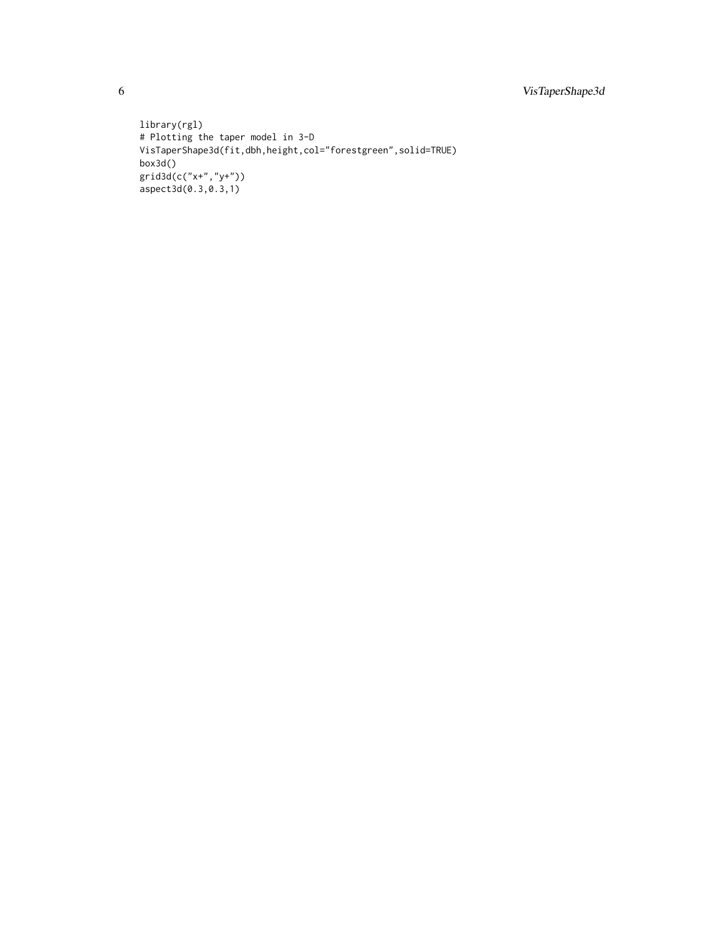library(rgl) # Plotting the taper model in 3-D VisTaperShape3d(fit,dbh,height,col="forestgreen",solid=TRUE) box3d() grid3d(c("x+","y+"))  $\overline{a}$  aspect3d(0.3,0.3,1)